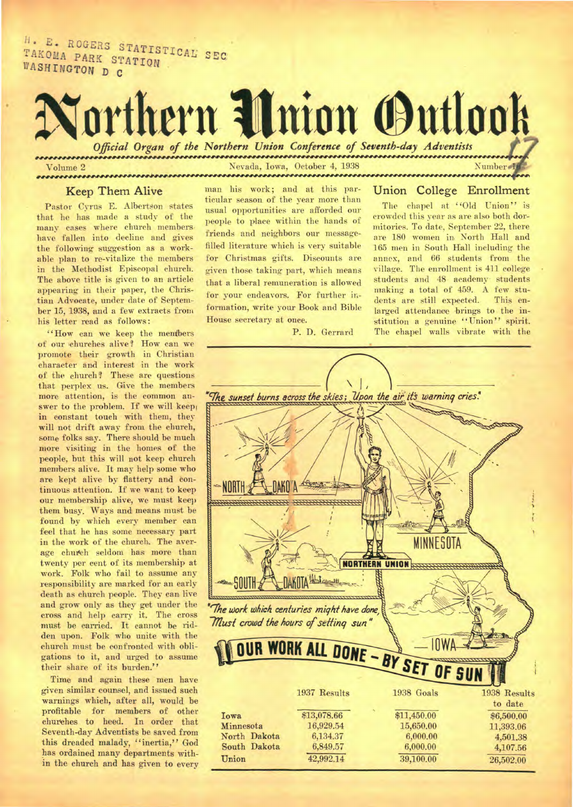H. E. ROGERS STATISTICAL SEC<br>TAKOMA PARK STATION TAKOMA PARK STATION WASHINGTON D C

# orthern **Union Outlook** *Official Organ of the Northern Union Conference of Seventh-day Adventists*  Nevada, Iowa, October 4, 1938 Number 1

## Volume 2

#### **Keep Them Alive**

Pastor Cyrus E. Albertson states that he has made a study of the many cases where church members have fallen into decline and gives the following suggestion as a workable plan to re-vitalize the members in the Methodist Episcopal church. The above title is given to an article appearing in their paper, the Christian Advocate, under date of September 15, 1938, and a few extracts from his letter read as follows:

"How can we keep the members of our churches alive? How can we promote their growth in Christian character and interest in the work of the church? These are questions that perplex us. Give the members more attention, is the common answer to the problem. If we will keep in constant touch with them, they will not drift away from the church, some folks say. There should be much more visiting in the homes of the people, but this will not keep church members alive. It may help some who are kept alive by flattery and continuous attention. If we want to keep our membership alive, we must keep them busy, Ways and means must be found by which every member can feel that he has some necessary part in the work of the church. The average church seldom has more than twenty per cent of its membership at work. Folk who fail to assume any responsibility are marked for an early death as church people. They can live and grow only as they get under the cross and help carry it. The cross must be carried. It cannot be ridden upon. Folk who unite with the church must be confronted with obligations to it, and urged to assume their share of its burden."

Time and again these men have given similar counsel, and issued such warnings which, after all, would be profitable for members of other churches to heed. In order that Seventh-day Adventists be saved from this dreaded malady, "inertia," God has ordained many departments within the church and has given to every man his work; and at this particular season of the year more than usual opportunities are afforded our people to place within the hands of friends and neighbors our messagefilled literature which is very suitable for Christmas gifts. Discounts are given those taking part, which means that a liberal remuneration is allowed for your endeavors. For further information, write your Book and Bible House secretary at once.

P. D. Gerrard

#### Union College Enrollment

The chapel at "Old Union" is crowded this year as are also both dormitories. To date, September 22, there are 180 women in North Hall and 165 men in South Hall including the annex, and 66 students from the village. The enrollment is 411 college students and 48 academy students making a total of 459. A few students are still expected. This enlarged attendance brings to the institution a genuine "Union" spirit. The chapel walls vibrate with the

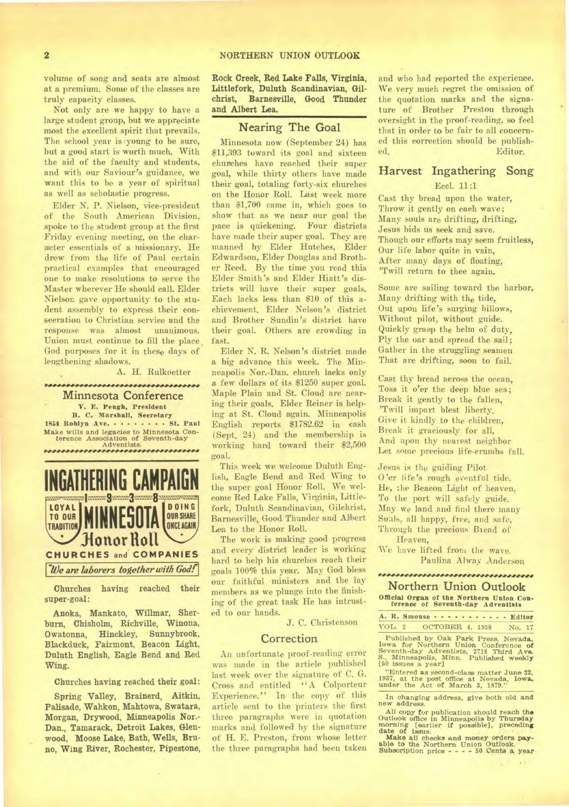volume of song and seats are almost at a premium. Some of the classes are truly capacity classes.

Not only are we happy to have a large student group, but we appreciate most the excellent spirit that prevails. The school year is 'young to be sure, but a good start is worth much. With the aid of the faculty and students, and with our Saviour's guidance, we want this to be a year of spiritual as well as scholastic progress.

Elder N. P. Nielson, vice-president of the South American Division, spoke to the student group at the first Friday *evening* meeting, on the character essentials of a missionary. He drew from the life of Paul certain practical examples that encouraged one to make resolutions to serve the Master wherever He should call. Elder Nielson gave opportunity to the student assembly to express their consecration to Christian service and the response was almost unanimous. Union must continue to fill the place God purposes for it in these days of lengthening shadows.

#### A. H. Rulkoetter

,,,,,,,,,,,,,,,,,,,,,,,,,,,,,,,,,, Minnesota Conference V. **E. Peugh, President** 

**B. C. Marshall, Secretary 1854 Roblyn Ave.** . . . . . . . . St. Paul **Make wills and legacies to Minnesota Con-ference Association of Seventh-day Adventists.** 



**Churches having reached their super-goal:** 

**Anoka, Mankato, Willmar, Sherburn, Chisholm, Richville, Winona, Owatonna, Hinckley, Sunnybrook, Blackduck, Fairmont, Beacon Light, Duluth English, Eagle Bend and Red Wing.** 

**Churches having reached their goal:** 

**Spring Valley, Brainerd, Aitkin, Palisade, Wahkon, Mahtowa, Swatara, Morgan, Drywood, Minneapolis Nor.- Dan., Tamarack, Detroit Lakes, Glenwood, Moose Lake, Bath, Wells, Bruno, Wing River, Rochester, Pipestone,**  **Rock Creek, Red Lake Falls, Virginia, Littlefork, Duluth Scandinavian, Gilchrist, Barnesville, Good Thunder and Albert Lea.** 

#### Nearing The **Goal**

Minnesota now (September 24) has \$11,393 toward its goal and sixteen churches have reached their super goal, while thirty others have made their goal, totaling forty-six churches on the Honor RolL Last week more than \$1,700 came in, which goes to show that as we near our goal the pace is quickening. Four districts have made their super goal. They are manned by Elder Hutches, Elder Edwardson, Elder Douglas and Brother Reed. By the time you read this Elder Smith's and Elder Hiatt's districts will have their super goals. Each lacks less than \$10 of this achievement. Elder Nelson's district and Brother Sundin's district have their goal. Others are crowding in fast.

Elder N. R. Nelson's district made a big advance this week. The Minneapolis Nor.-Dan. church lacks only a few dollars of its \$1250 super goal. Maple Plain and St. Cloud are nearing their goals. Elder Reiner is helping at St. Cloud again. Minneapolis English reports \$1782.62 in cash (Sept. 24) and the membership is working hard toward their \$2,500 goal.

This week we welcome Duluth English, Eagle Bend and Red Wing to the super goal Honor Roll. We welcome Red Lake Falls, Virginia, Littlefork, Duluth Scandinavian, Gilchrist, Barnesville, Good Thunder and Albert Lea to the Honor Roll.

The work is making good progress and every district leader is working hard to help his churches reach their goals 100% this year. May God bless our faithful ministers and the lay members as we plunge into the finishing of the great task He has intrusted to our hands.

J. C. Christenson

#### **Correction**

An unfortunate proof-reading error was made in the article published last week over the signature of C. G. Cross and entitled "A Colporteur Experience." In the copy of this article sent to the printers the first three paragraphs were in quotation marks and followed by the signature of H. E. Preston, from whose letter the three paragraphs had been taken

and who had reported the experience. We very much regret the omission of the quotation marks and the signature of Brother Preston through oversight in the proof-reading, so feel that in order to be fair to all concerned this correction should be published. Editor.

### Harvest Ingathering Song

#### Eccl. 11:1

Cast thy bread upon the water, Throw it gently on each wave; Many souls are drifting, drifting, Jesus bids us seek and save. Though our efforts may seem fruitless, Our life labor quite in vain, After many days of floating, 'Twill return to thee again.

Some are sailing toward the harbor, Many drifting with the tide, Out upon life's surging billows, Without pilot, without guide. Quickly grasp the helm of duty, Ply the oar and spread the sail; Gather in the struggling seamen That are drifting, soon to fail.

Cast thy bread across the ocean, Toss it o'er the *deep* blue sea; Break it gently to the fallen, 'Twill impart blest liberty. Give it kindly to the children, Break it graciously for all, And upon thy nearest neighbor Let some precious life-crumbs fall.

Jesus is the guiding Pilot O'er life's rough eventful tide. He, the Beacon Light of heaven, **To** the port will safely guide. May we land and find there many Souls, all happy, free, and safe, Through the precious Bread of Heaven,

We have lifted from the wave. Paulina Alway Anderson

#### **INP4NNIMMAMANWWP**

**Northern Union Outlook Official Organ of the Northern Union Con-ference of Seventh-day Adventists** 

|        | A. R. Smouse Editor |  |        |  |
|--------|---------------------|--|--------|--|
| VOL. 2 | OCTOBER 4, 1938     |  | No. 17 |  |

Published by Oak Park Press, Nevada, Iowa for Northern Union Conference of Seventh-day Adventists, 2718 Third Ave.<br>Seventh-day Adventists, 2718 Third Ave.<br>S., Minneapolis, Minn. Published weekl**y**<br>[50 issues a year]

"Entered as second-class matter June 22, 1937, at the post office at Nevada, Iowa, under the Act of March 3, 1879."

**In changing address,** *give* **both old and new address.** 

All copy for publication should reach the Ottlook office in Minneapolis by Thursday morning [earlier if possible], preceding date of issue.<br>Make all checks and monopy orders pay-<br>able to the Northern Union Outlook.<br>Subscr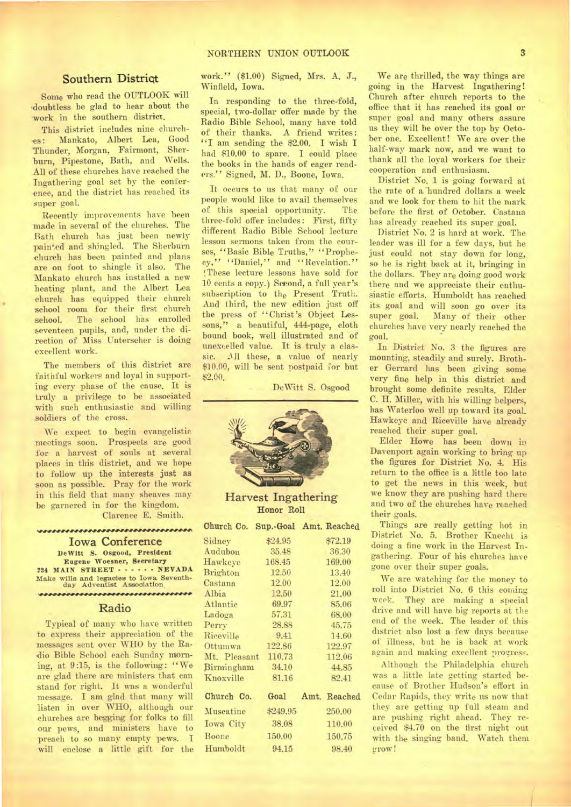#### Southern **Distriqt**

Some who read the OUTLOOK will 'doubtless be glad to hear about the 'work in the southern district.

This district includes nine churches: Mankato, Albert Lea, Good Thunder, Morgan, Fairmont, Sher burn, Pipestone, Bath, and Wells. All of these churches have reached the Ingathering goal set by the conference, and the district has reached its super goal.

Recently improvements have been made in several of the churches. The Bath church has just been newly painted and shingled. The Sherbuin church has been painted and plans are on foot to shingle it also. The Mankato church has installed a new heating plant, and the Albert Lea church has equipped their church school room for their first church school. The school has enrolled seventeen pupils, and, under the direction of Miss Unterseher is doing excellent work.

The members of this district are faithful workers and loyal in supporting every phase of the cause. It is truly a privilege to be associated with such enthusiastic and willing soldiers of the cross.

We expect to begin evangelistic meetings soon. Prospects are good for a harvest of souls at several places in this district, and we hope to follow up the interests just as soon as possible. Pray for the work in this field that many sheaves may be garnered in for the kingdom. Clarence E. Smith.

**Iowa Conference DeWitt S. Osgood, President Eugene Woesner, Secretary 734 MAIN STREET . . . . . . NEVADA Make wills and legacies to Iowa Seventh-**day Adventist Association \*\*\*\*\*\*\*\*\*\*\*\*\*\*\*\*\*\*\*\*\*\*\*\*\*\*\*\*\*\*\*\*\*

#### Radio

Typical of many who have written to express their appreciation of the messages sent over WHO by the Ra- .dio Bible School each Sunday morning, at 9:15, is the following: "We are glad there are ministers that can stand for right. It was a wonderful message. I am glad that many will listen in over WHO, although our churches are begging for folks to fill our pews, and ministers have to preach to so many empty pews. I will enclose a little gift for the

work." (\$1.00) Signed, Mrs. A. J., Winfield, Iowa.

In responding to the three-fold, special, two-dollar offer made by the Radio Bible School, many have told of their thanks. A friend writes: "I am sending the \$2.00. I wish I had \$10.00 to spare. I could place the books in the hands of eager readers." Signed, M. D., Boone, Iowa.

It occurs to us that many of our people would like to avail themselves of this spacial opportunity. The three-fold offer includes: First, fifty different Radio Bible School lecture lesson sermons taken from the courses, "Basic Bible Truths," "Prophecy," "Daniel," and "Revelation." ',These lecture lessons have sold for 10 cents a copy.) Second, a full year's subscription to the Present Truth. And third, the new edition just off the press of "Christ's Object Lessons," a beautiful, 444-page, cloth bound book, well illustrated and of unexcelled value. It is truly a classic. MI these, a value of nearly \$10.00, will be sent postpaid for but \$2.00.

DeWitt S. Osgood



Harvest Ingathering Honor Roll

|                 |          | Church Co. Sup.-Goal Amt. Reached |
|-----------------|----------|-----------------------------------|
| Sidney          | \$24.95  | \$72.19                           |
| Audubon         | 35.48    | 36.30                             |
| Hawkeye         | 168.45   | 169.00                            |
| <b>Brighton</b> | 12.50    | 13.40                             |
| Castana         | 12.00    | 12.00                             |
| Albia           | 12.50    | 21.00                             |
| Atlantic        | 69.97    | 85.06                             |
| Ladoga          | 57.31    | 68.00                             |
| Perry           | 28.88    | 45.75                             |
| Riceville       | 9.41     | 14.60                             |
| Ottumwa         | 122.86   | 122.97                            |
| Mt. Pleasant    | 110.73   | 112.06                            |
| Birmingham      | 34.10    | 44.85                             |
| Knoxville       | 81.16    | 82.41                             |
| Church Co.      | Goal     | Amt. Reached                      |
| Muscatine       | \$249.95 | 250.00                            |
| Iowa City       | 38.08    | 110.00                            |
| Boone           | 150.00   | 150.75                            |
| Humboldt        | 94.15    | 98.40                             |

We are thrilled, the way things are going in the Harvest Ingathering! Church after church reports to the office that it has reached its goal or super goal and many others assure us they will be over the top by October one. Excellent! We are over the half-way mark now, and we want to thank all the loyal workers for their cooperation and enthusiasm.

District No. 1 is *going* forward at the rate of a'hundred dollars a week and we look for them to hit the mark before the first of October. Castana has already reached its super goal.

District No. 2 is hard at work. The leader was ill for a few days, but he just could not stay down for long, so he is right back at it, bringing in the dollars. They are doing good work there and we appreciate their enthusiastic efforts. Humboldt has reached its goal and will soon go over its super goal. Many of their other churches have very nearly reached the goal.

In District No. 3 the figures are mounting, steadily and surely. Brother Gerrard has been giving some very fine help in this district and brought some definite results. Elder C. H. Miller, with his willing helpers, has Waterloo well up toward its goal. Hawkeye and Riceville have already reached their super goal.

Elder Howe has been down in. Davenport again working to bring up the figures for District No. 4. His return to the office is a little too late to get the news in this week, but we know they are pushing hard there and two of the churches have reached their goals.

Things are really getting hot in District No. 5. Brother Knecht is doing a fine work in the Harvest Ingathering. Four of his churches have gone over their super goals.

We are watching for the money to roll into District No. 6 this coming week. They are making a special drive and will have big reports at the end of the week. The leader of this district also lost a few days because of illness, but he is back at work again and making excellent progress.

Although the Philadelphia church was a little late getting started because of Brother Hudson's effort in Cedar Rapids, they write us now that they are getting up full steam and are pushing right ahead. They received \$4.70 on the first night out with the singing band. Watch them grow!